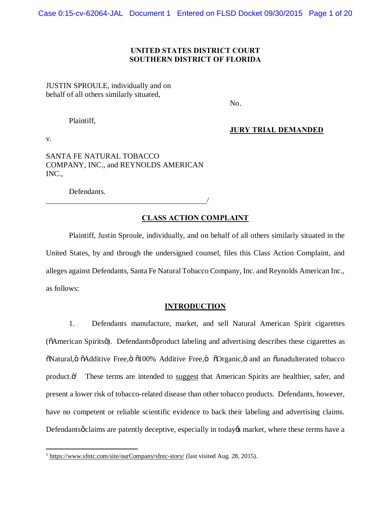## **UNITED STATES DISTRICT COURT SOUTHERN DISTRICT OF FLORIDA**

# JUSTIN SPROULE, individually and on behalf of all others similarly situated,

No.

Plaintiff,

**JURY TRIAL DEMANDED**

v.

SANTA FE NATURAL TOBACCO COMPANY, INC., and REYNOLDS AMERICAN INC.,

Defendants.

# **CLASS ACTION COMPLAINT**

/

Plaintiff, Justin Sproule, individually, and on behalf of all others similarly situated in the United States, by and through the undersigned counsel, files this Class Action Complaint, and alleges against Defendants, Santa Fe Natural Tobacco Company, Inc. and Reynolds American Inc., as follows:

# **INTRODUCTION**

1. Defendants manufacture, market, and sell Natural American Spirit cigarettes ( $\delta$ American Spirits $\delta$ ). Defendantsø product labeling and advertising describes these cigarettes as  $\ddot{\text{o}}$ Natural,  $\ddot{\text{o}}$   $\ddot{\text{o}}$ Additive Free,  $\ddot{\text{o}}$  and  $\ddot{\text{o}}$  and an  $\ddot{\text{o}}$  and an  $\ddot{\text{o}}$  and an  $\ddot{\text{o}}$  and an  $\ddot{\text{o}}$  and an  $\ddot{\text{o}}$  and  $\ddot{\text{o}}$  and  $\ddot{\text{o}}$  and  $\ddot{\text{o}}$  and  $\ddot{\text{o}}$  and product. $\ddot{o}^1$  These terms are intended to suggest that American Spirits are healthier, safer, and present a lower risk of tobacco-related disease than other tobacco products. Defendants, however, have no competent or reliable scientific evidence to back their labeling and advertising claims. Defendants *o* claims are patently deceptive, especially in today *market*, where these terms have a

 $\overline{a}$ <sup>1</sup> https://www.sfntc.com/site/ourCompany/sfntc-story/ (last visited Aug. 28, 2015).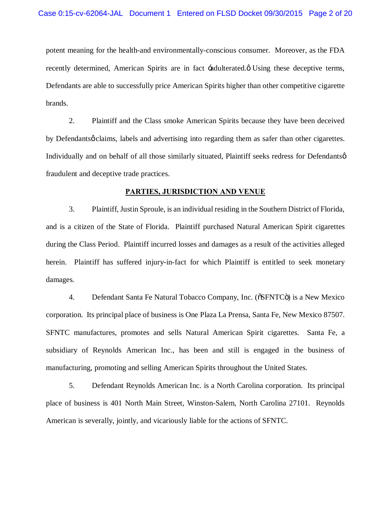potent meaning for the health-and environmentally-conscious consumer. Moreover, as the FDA recently determined, American Spirits are in fact  $\pm$  adulterated. $\phi$  Using these deceptive terms, Defendants are able to successfully price American Spirits higher than other competitive cigarette brands.

2. Plaintiff and the Class smoke American Spirits because they have been deceived by Defendantsø claims, labels and advertising into regarding them as safer than other cigarettes. Individually and on behalf of all those similarly situated, Plaintiff seeks redress for Defendantsø fraudulent and deceptive trade practices.

#### **PARTIES, JURISDICTION AND VENUE**

3. Plaintiff, Justin Sproule, is an individual residing in the Southern District of Florida, and is a citizen of the State of Florida. Plaintiff purchased Natural American Spirit cigarettes during the Class Period. Plaintiff incurred losses and damages as a result of the activities alleged herein. Plaintiff has suffered injury-in-fact for which Plaintiff is entitled to seek monetary damages.

4. Defendant Santa Fe Natural Tobacco Company, Inc. ( $\delta$ SFNTC $\delta$ ) is a New Mexico corporation. Its principal place of business is One Plaza La Prensa, Santa Fe, New Mexico 87507. SFNTC manufactures, promotes and sells Natural American Spirit cigarettes. Santa Fe, a subsidiary of Reynolds American Inc., has been and still is engaged in the business of manufacturing, promoting and selling American Spirits throughout the United States.

5. Defendant Reynolds American Inc. is a North Carolina corporation. Its principal place of business is 401 North Main Street, Winston-Salem, North Carolina 27101. Reynolds American is severally, jointly, and vicariously liable for the actions of SFNTC.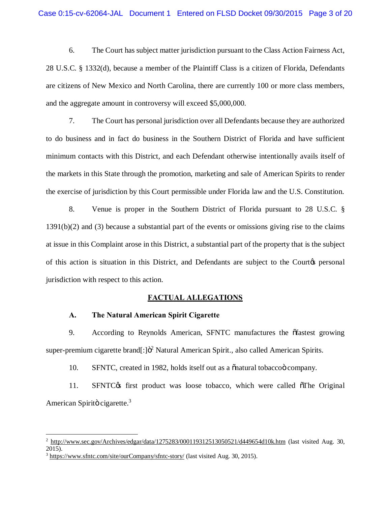6. The Court has subject matter jurisdiction pursuant to the Class Action Fairness Act, 28 U.S.C. § 1332(d), because a member of the Plaintiff Class is a citizen of Florida, Defendants are citizens of New Mexico and North Carolina, there are currently 100 or more class members, and the aggregate amount in controversy will exceed \$5,000,000.

7. The Court has personal jurisdiction over all Defendants because they are authorized to do business and in fact do business in the Southern District of Florida and have sufficient minimum contacts with this District, and each Defendant otherwise intentionally avails itself of the markets in this State through the promotion, marketing and sale of American Spirits to render the exercise of jurisdiction by this Court permissible under Florida law and the U.S. Constitution.

8. Venue is proper in the Southern District of Florida pursuant to 28 U.S.C. § 1391(b)(2) and (3) because a substantial part of the events or omissions giving rise to the claims at issue in this Complaint arose in this District, a substantial part of the property that is the subject of this action is situation in this District, and Defendants are subject to the Courtos personal jurisdiction with respect to this action.

#### **FACTUAL ALLEGATIONS**

#### **A. The Natural American Spirit Cigarette**

9. According to Reynolds American, SFNTC manufactures the offastest growing super-premium cigarette brand $[\cdot]$  $\ddot{\sigma}$ <sup>2</sup> Natural American Spirit., also called American Spirits.

10. SFNTC, created in 1982, holds itself out as a  $\delta$  natural tobacco company.

11. SFNTC $\alpha$  first product was loose tobacco, which were called  $\delta$ The Original American Spiritö cigarette. $3$ 

 $\overline{\phantom{a}}$ 

 $^2$  http://www.sec.gov/Archives/edgar/data/1275283/000119312513050521/d449654d10k.htm (last visited Aug. 30, 2015).

<sup>3</sup> https://www.sfntc.com/site/ourCompany/sfntc-story/ (last visited Aug. 30, 2015).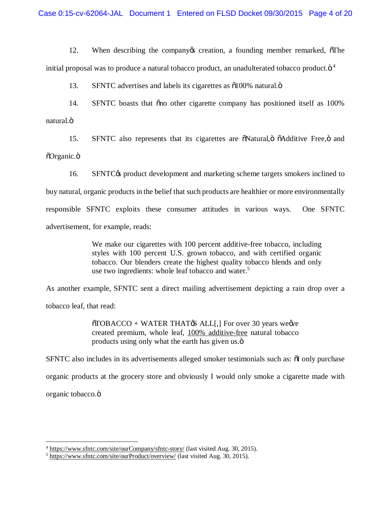12. When describing the company creation, a founding member remarked,  $\delta$ The initial proposal was to produce a natural tobacco product, an unadulterated tobacco product. $\ddot{\rm o}^4$ 

13. SFNTC advertises and labels its cigarettes as  $\delta$ 100% natural. $\ddot{\text{o}}$ 

14. SFNTC boasts that "on other cigarette company has positioned itself as  $100\%$ natural.ö

15. SFNTC also represents that its cigarettes are  $\delta$ Natural, $\delta$   $\delta$ Additive Free, $\delta$  and  $\tilde{O}$ rganic. $\ddot{\mathrm{o}}$ 

16. SFNTC $\&$  product development and marketing scheme targets smokers inclined to buy natural, organic products in the belief that such products are healthier or more environmentally responsible SFNTC exploits these consumer attitudes in various ways. One SFNTC advertisement, for example, reads:

> We make our cigarettes with 100 percent additive-free tobacco, including styles with 100 percent U.S. grown tobacco, and with certified organic tobacco. Our blenders create the highest quality tobacco blends and only use two ingredients: whole leaf tobacco and water.<sup>5</sup>

As another example, SFNTC sent a direct mailing advertisement depicting a rain drop over a

tobacco leaf, that read:

 $\overline{0}TOBACCO + WATER THAT  $\overline{B}$  ALL[,] For over 30 years we$ created premium, whole leaf, 100% additive-free natural tobacco products using only what the earth has given us. $\ddot{\text{o}}$ 

SFNTC also includes in its advertisements alleged smoker testimonials such as:  $\delta$ I only purchase

organic products at the grocery store and obviously I would only smoke a cigarette made with

organic tobacco.ö

 $\overline{\phantom{a}}$ 

<sup>4</sup> https://www.sfntc.com/site/ourCompany/sfntc-story/ (last visited Aug. 30, 2015).

<sup>&</sup>lt;sup>5</sup> https://www.sfntc.com/site/ourProduct/overview/ (last visited Aug. 30, 2015).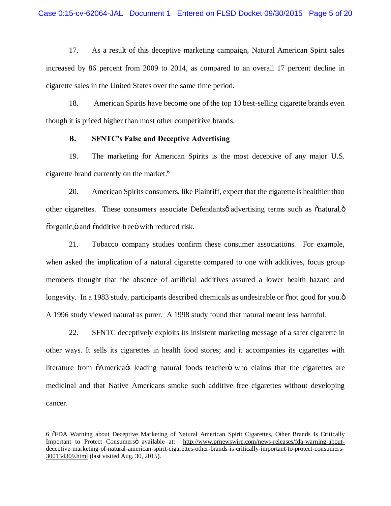17. As a result of this deceptive marketing campaign, Natural American Spirit sales increased by 86 percent from 2009 to 2014, as compared to an overall 17 percent decline in cigarette sales in the United States over the same time period.

18. American Spirits have become one of the top 10 best-selling cigarette brands even though it is priced higher than most other competitive brands.

#### **B. SFNTC's False and Deceptive Advertising**

19. The marketing for American Spirits is the most deceptive of any major U.S. cigarette brand currently on the market.6

20. American Spirits consumers, like Plaintiff, expect that the cigarette is healthier than other cigarettes. These consumers associate Defendants *o* advertising terms such as  $\tilde{\text{on}}$  atural, $\ddot{\text{o}}$ õorganic, ö and õadditive free ö with reduced risk.

21. Tobacco company studies confirm these consumer associations. For example, when asked the implication of a natural cigarette compared to one with additives, focus group members thought that the absence of artificial additives assured a lower health hazard and longevity. In a 1983 study, participants described chemicals as undesirable or  $\delta$  mot good for you. $\delta$ A 1996 study viewed natural as purer. A 1998 study found that natural meant less harmful.

22. SFNTC deceptively exploits its insistent marketing message of a safer cigarette in other ways. It sells its cigarettes in health food stores; and it accompanies its cigarettes with literature from  $\tilde{o}$ America $\alpha$  leading natural foods teachero who claims that the cigarettes are medicinal and that Native Americans smoke such additive free cigarettes without developing cancer.

 $\overline{a}$ 

<sup>6</sup> "FDA Warning about Deceptive Marketing of Natural American Spirit Cigarettes, Other Brands Is Critically Important to Protect Consumersö available at: http://www.prnewswire.com/news-releases/fda-warning-aboutdeceptive-marketing-of-natural-american-spirit-cigarettes-other-brands-is-critically-important-to-protect-consumers-300134309.html (last visited Aug. 30, 2015).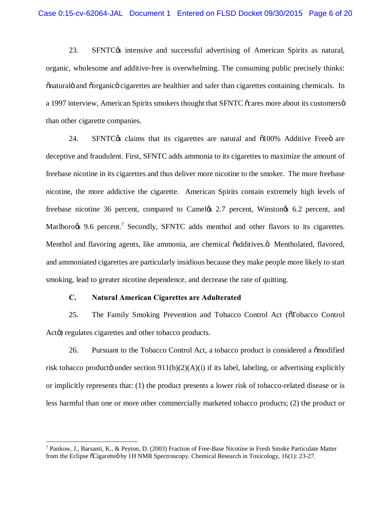23. SFNTC $\alpha$  intensive and successful advertising of American Spirits as natural, organic, wholesome and additive-free is overwhelming. The consuming public precisely thinks:  $\tilde{p}$  and  $\tilde{p}$  and  $\tilde{p}$  containing chemicals. In a 1997 interview, American Spirits smokers thought that SFNTC  $\tilde{\text{c}}$  cares more about its customers  $\ddot{\text{o}}$ than other cigarette companies.

 $24.$  SFNTC $\alpha$  claims that its cigarettes are natural and  $\delta 100\%$  Additive Freed are deceptive and fraudulent. First, SFNTC adds ammonia to its cigarettes to maximize the amount of freebase nicotine in its cigarettes and thus deliver more nicotine to the smoker. The more freebase nicotine, the more addictive the cigarette. American Spirits contain extremely high levels of freebase nicotine 36 percent, compared to Camel (s 2.7 percent, Winston (s 6.2 percent, and Marlboro $\infty$  9.6 percent.<sup>7</sup> Secondly, SFNTC adds menthol and other flavors to its cigarettes. Menthol and flavoring agents, like ammonia, are chemical  $\ddot{\alpha}$  additives. Mentholated, flavored, and ammoniated cigarettes are particularly insidious because they make people more likely to start smoking, lead to greater nicotine dependence, and decrease the rate of quitting.

#### **C. Natural American Cigarettes are Adulterated**

 $\overline{\phantom{a}}$ 

25. The Family Smoking Prevention and Tobacco Control Act ( $\delta$ Tobacco Control Actö) regulates cigarettes and other tobacco products.

26. Pursuant to the Tobacco Control Act, a tobacco product is considered a  $\ddot{\text{omodified}}$ risk tobacco producto under section  $911(b)(2)(A)(i)$  if its label, labeling, or advertising explicitly or implicitly represents that: (1) the product presents a lower risk of tobacco-related disease or is less harmful than one or more other commercially marketed tobacco products; (2) the product or

<sup>7</sup> Pankow, J., Barsanti, K., & Peyton, D. (2003) Fraction of Free-Base Nicotine in Fresh Smoke Particulate Matter from the Eclipse  $\delta$ Cigarette $\delta$  by 1H NMR Spectroscopy. Chemical Research in Toxicology, 16(1): 23-27.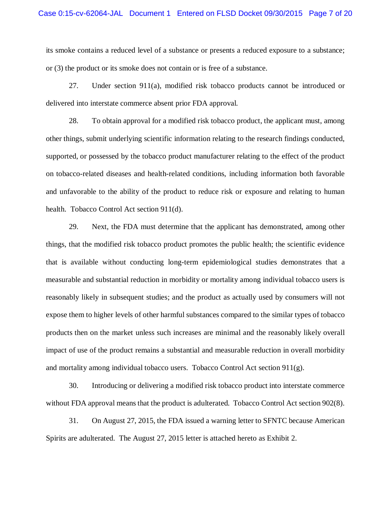its smoke contains a reduced level of a substance or presents a reduced exposure to a substance; or (3) the product or its smoke does not contain or is free of a substance.

27. Under section 911(a), modified risk tobacco products cannot be introduced or delivered into interstate commerce absent prior FDA approval.

28. To obtain approval for a modified risk tobacco product, the applicant must, among other things, submit underlying scientific information relating to the research findings conducted, supported, or possessed by the tobacco product manufacturer relating to the effect of the product on tobacco-related diseases and health-related conditions, including information both favorable and unfavorable to the ability of the product to reduce risk or exposure and relating to human health. Tobacco Control Act section 911(d).

29. Next, the FDA must determine that the applicant has demonstrated, among other things, that the modified risk tobacco product promotes the public health; the scientific evidence that is available without conducting long-term epidemiological studies demonstrates that a measurable and substantial reduction in morbidity or mortality among individual tobacco users is reasonably likely in subsequent studies; and the product as actually used by consumers will not expose them to higher levels of other harmful substances compared to the similar types of tobacco products then on the market unless such increases are minimal and the reasonably likely overall impact of use of the product remains a substantial and measurable reduction in overall morbidity and mortality among individual tobacco users. Tobacco Control Act section  $911(g)$ .

30. Introducing or delivering a modified risk tobacco product into interstate commerce without FDA approval means that the product is adulterated. Tobacco Control Act section 902(8).

31. On August 27, 2015, the FDA issued a warning letter to SFNTC because American Spirits are adulterated. The August 27, 2015 letter is attached hereto as Exhibit 2.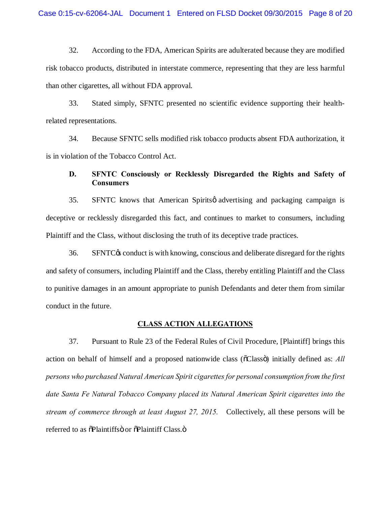32. According to the FDA, American Spirits are adulterated because they are modified risk tobacco products, distributed in interstate commerce, representing that they are less harmful than other cigarettes, all without FDA approval.

33. Stated simply, SFNTC presented no scientific evidence supporting their healthrelated representations.

34. Because SFNTC sells modified risk tobacco products absent FDA authorization, it is in violation of the Tobacco Control Act.

# **D. SFNTC Consciously or Recklessly Disregarded the Rights and Safety of Consumers**

35. SFNTC knows that American Spirits *ø* advertising and packaging campaign is deceptive or recklessly disregarded this fact, and continues to market to consumers, including Plaintiff and the Class, without disclosing the truth of its deceptive trade practices.

36. SFNTC<sub>C</sub> conduct is with knowing, conscious and deliberate disregard for the rights and safety of consumers, including Plaintiff and the Class, thereby entitling Plaintiff and the Class to punitive damages in an amount appropriate to punish Defendants and deter them from similar conduct in the future.

# **CLASS ACTION ALLEGATIONS**

37. Pursuant to Rule 23 of the Federal Rules of Civil Procedure, [Plaintiff] brings this action on behalf of himself and a proposed nationwide class ( $\delta$ Class $\ddot{\text{o}}$ ) initially defined as: *All persons who purchased Natural American Spirit cigarettesfor personal consumption from the first date Santa Fe Natural Tobacco Company placed its Natural American Spirit cigarettes into the stream of commerce through at least August 27, 2015.* Collectively, all these persons will be referred to as  $\tilde{o}$ Plaintiffs $\ddot{o}$  or  $\tilde{o}$ Plaintiff Class. $\ddot{o}$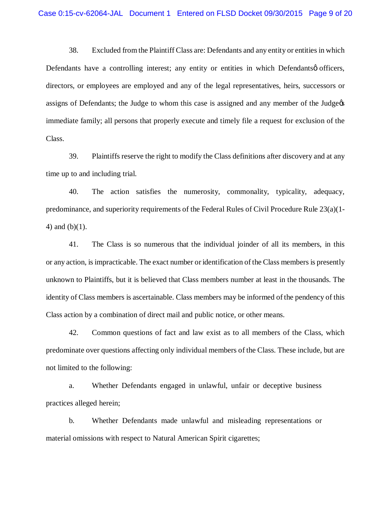38. Excluded from the Plaintiff Class are: Defendants and any entity or entities in which Defendants have a controlling interest; any entity or entities in which Defendantsø officers, directors, or employees are employed and any of the legal representatives, heirs, successors or assigns of Defendants; the Judge to whom this case is assigned and any member of the Judge's immediate family; all persons that properly execute and timely file a request for exclusion of the Class.

39. Plaintiffs reserve the right to modify the Class definitions after discovery and at any time up to and including trial.

40. The action satisfies the numerosity, commonality, typicality, adequacy, predominance, and superiority requirements of the Federal Rules of Civil Procedure Rule 23(a)(1- 4) and (b)(1).

41. The Class is so numerous that the individual joinder of all its members, in this or any action, is impracticable. The exact number or identification of the Class members is presently unknown to Plaintiffs, but it is believed that Class members number at least in the thousands. The identity of Class members is ascertainable. Class members may be informed of the pendency of this Class action by a combination of direct mail and public notice, or other means.

42. Common questions of fact and law exist as to all members of the Class, which predominate over questions affecting only individual members of the Class. These include, but are not limited to the following:

a. Whether Defendants engaged in unlawful, unfair or deceptive business practices alleged herein;

b. Whether Defendants made unlawful and misleading representations or material omissions with respect to Natural American Spirit cigarettes;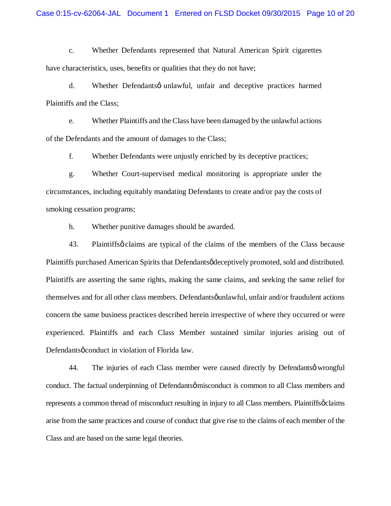c. Whether Defendants represented that Natural American Spirit cigarettes have characteristics, uses, benefits or qualities that they do not have;

d. Whether Defendantsø unlawful, unfair and deceptive practices harmed Plaintiffs and the Class;

e. Whether Plaintiffs and the Class have been damaged by the unlawful actions of the Defendants and the amount of damages to the Class;

f. Whether Defendants were unjustly enriched by its deceptive practices;

g. Whether Court-supervised medical monitoring is appropriate under the circumstances, including equitably mandating Defendants to create and/or pay the costs of smoking cessation programs;

h. Whether punitive damages should be awarded.

43. Plaintiffs  $\phi$  claims are typical of the claims of the members of the Class because Plaintiffs purchased American Spirits that Defendants gdeceptively promoted, sold and distributed. Plaintiffs are asserting the same rights, making the same claims, and seeking the same relief for themselves and for all other class members. Defendants  $\varphi$ unlawful, unfair and/or fraudulent actions concern the same business practices described herein irrespective of where they occurred or were experienced. Plaintiffs and each Class Member sustained similar injuries arising out of Defendants *o* conduct in violation of Florida law.

44. The injuries of each Class member were caused directly by Defendants o wrongful conduct. The factual underpinning of Defendants  $\phi$  misconduct is common to all Class members and represents a common thread of misconduct resulting in injury to all Class members. Plaintiffs oclaims arise from the same practices and course of conduct that give rise to the claims of each member of the Class and are based on the same legal theories.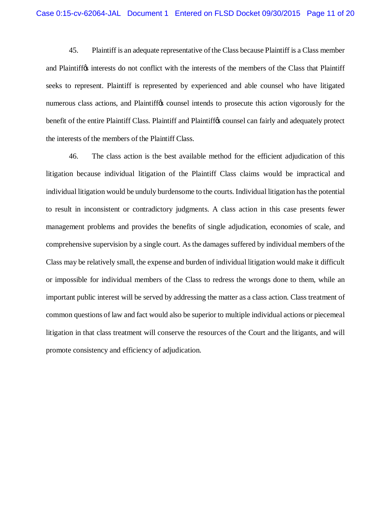45. Plaintiff is an adequate representative of the Class because Plaintiff is a Class member and Plaintiff<sub>(s)</sub> interests do not conflict with the interests of the members of the Class that Plaintiff seeks to represent. Plaintiff is represented by experienced and able counsel who have litigated numerous class actions, and Plaintiff to counsel intends to prosecute this action vigorously for the benefit of the entire Plaintiff Class. Plaintiff and Plaintiff the counsel can fairly and adequately protect the interests of the members of the Plaintiff Class.

46. The class action is the best available method for the efficient adjudication of this litigation because individual litigation of the Plaintiff Class claims would be impractical and individual litigation would be unduly burdensome to the courts. Individual litigation has the potential to result in inconsistent or contradictory judgments. A class action in this case presents fewer management problems and provides the benefits of single adjudication, economies of scale, and comprehensive supervision by a single court. As the damages suffered by individual members of the Class may be relatively small, the expense and burden of individual litigation would make it difficult or impossible for individual members of the Class to redress the wrongs done to them, while an important public interest will be served by addressing the matter as a class action. Class treatment of common questions of law and fact would also be superior to multiple individual actions or piecemeal litigation in that class treatment will conserve the resources of the Court and the litigants, and will promote consistency and efficiency of adjudication.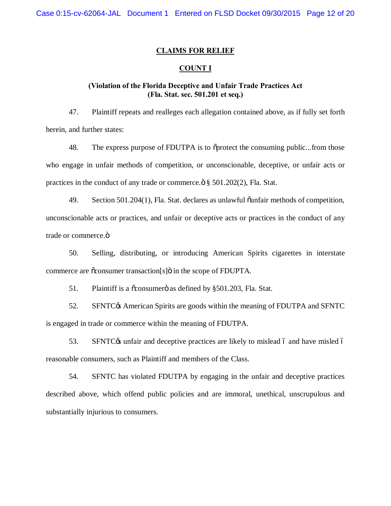#### **CLAIMS FOR RELIEF**

#### **COUNT I**

# **(Violation of the Florida Deceptive and Unfair Trade Practices Act (Fla. Stat. sec. 501.201 et seq.)**

47. Plaintiff repeats and realleges each allegation contained above, as if fully set forth herein, and further states:

48. The express purpose of FDUTPA is to  $\tilde{c}$  protect the consuming public...from those who engage in unfair methods of competition, or unconscionable, deceptive, or unfair acts or practices in the conduct of any trade or commerce. $\ddot{\text{o}}$  § 501.202(2), Fla. Stat.

49. Section 501.204(1), Fla. Stat. declares as unlawful õunfair methods of competition, unconscionable acts or practices, and unfair or deceptive acts or practices in the conduct of any trade or commerce.ö

50. Selling, distributing, or introducing American Spirits cigarettes in interstate commerce are  $\tilde{\text{c}}$ consumer transaction[s] $\ddot{\text{o}}$  in the scope of FDUPTA.

51. Plaintiff is a  $\tilde{\alpha}$  consumero as defined by §501.203, Fla. Stat.

52. SFNTC& American Spirits are goods within the meaning of FDUTPA and SFNTC is engaged in trade or commerce within the meaning of FDUTPA.

53. SFNTC $\alpha$  unfair and deceptive practices are likely to mislead 6 and have misled 6 reasonable consumers, such as Plaintiff and members of the Class.

54. SFNTC has violated FDUTPA by engaging in the unfair and deceptive practices described above, which offend public policies and are immoral, unethical, unscrupulous and substantially injurious to consumers.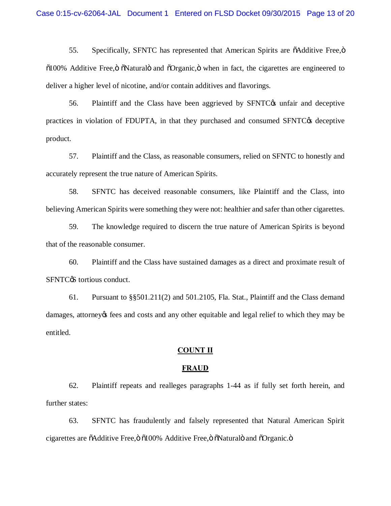55. Specifically, SFNTC has represented that American Spirits are  $\ddot{o}$ Additive Free, $\ddot{o}$  $0100\%$  Additive Free,  $\ddot{\text{o}}$   $\ddot{\text{o}}$ Natural $\ddot{\text{o}}$  and  $\ddot{\text{o}}$ Organic,  $\ddot{\text{o}}$  when in fact, the cigarettes are engineered to deliver a higher level of nicotine, and/or contain additives and flavorings.

56. Plaintiff and the Class have been aggrieved by SFNTC<sub>\*</sub> unfair and deceptive practices in violation of FDUPTA, in that they purchased and consumed SFNTC<sub> $\&$ </sub> deceptive product.

57. Plaintiff and the Class, as reasonable consumers, relied on SFNTC to honestly and accurately represent the true nature of American Spirits.

58. SFNTC has deceived reasonable consumers, like Plaintiff and the Class, into believing American Spirits were something they were not: healthier and safer than other cigarettes.

59. The knowledge required to discern the true nature of American Spirits is beyond that of the reasonable consumer.

60. Plaintiff and the Class have sustained damages as a direct and proximate result of SFNTC<sub>®</sub> tortious conduct.

61. Pursuant to  $\S$ §501.211(2) and 501.2105, Fla. Stat., Plaintiff and the Class demand damages, attorney os fees and costs and any other equitable and legal relief to which they may be entitled.

### **COUNT II**

#### **FRAUD**

62. Plaintiff repeats and realleges paragraphs 1-44 as if fully set forth herein, and further states:

63. SFNTC has fraudulently and falsely represented that Natural American Spirit cigarettes are õAdditive Free, ö õ100% Additive Free, ö õNaturalö and õOrganic. ö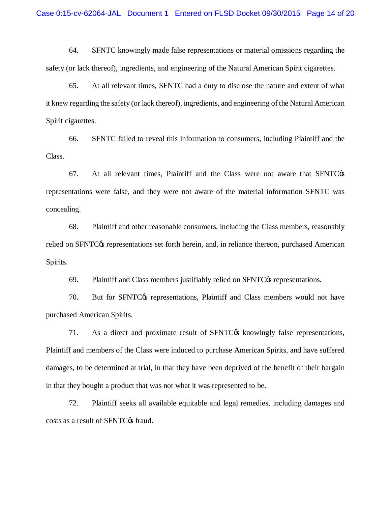64. SFNTC knowingly made false representations or material omissions regarding the safety (or lack thereof), ingredients, and engineering of the Natural American Spirit cigarettes.

65. At all relevant times, SFNTC had a duty to disclose the nature and extent of what it knew regarding the safety (or lack thereof), ingredients, and engineering of the Natural American Spirit cigarettes.

66. SFNTC failed to reveal this information to consumers, including Plaintiff and the Class.

 $67.$  At all relevant times, Plaintiff and the Class were not aware that SFNTC $\circ$ s representations were false, and they were not aware of the material information SFNTC was concealing.

68. Plaintiff and other reasonable consumers, including the Class members, reasonably relied on SFNTC $\alpha$  representations set forth herein, and, in reliance thereon, purchased American Spirits.

69. Plaintiff and Class members justifiably relied on  $SFTC\&$  representations.

70. But for SFNTC $\alpha$  representations, Plaintiff and Class members would not have purchased American Spirits.

71. As a direct and proximate result of SFNTC<sub>®</sub> knowingly false representations, Plaintiff and members of the Class were induced to purchase American Spirits, and have suffered damages, to be determined at trial, in that they have been deprived of the benefit of their bargain in that they bought a product that was not what it was represented to be.

72. Plaintiff seeks all available equitable and legal remedies, including damages and costs as a result of SFNTC $\alpha$  fraud.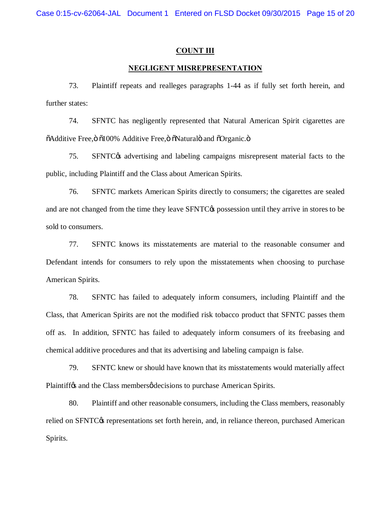#### **COUNT III**

#### **NEGLIGENT MISREPRESENTATION**

73. Plaintiff repeats and realleges paragraphs 1-44 as if fully set forth herein, and further states:

74. SFNTC has negligently represented that Natural American Spirit cigarettes are  $\ddot{\text{o}}$ Additive Free, $\ddot{\text{o}}$  0100% Additive Free, $\ddot{\text{o}}$   $\ddot{\text{o}}$ Natural $\ddot{\text{o}}$  and  $\ddot{\text{o}}$ Organic. $\ddot{\text{o}}$ 

75. SFNTC<sub>O</sub> advertising and labeling campaigns misrepresent material facts to the public, including Plaintiff and the Class about American Spirits.

76. SFNTC markets American Spirits directly to consumers; the cigarettes are sealed and are not changed from the time they leave SFNTC<sub> $\&$ </sub> possession until they arrive in stores to be sold to consumers.

77. SFNTC knows its misstatements are material to the reasonable consumer and Defendant intends for consumers to rely upon the misstatements when choosing to purchase American Spirits.

78. SFNTC has failed to adequately inform consumers, including Plaintiff and the Class, that American Spirits are not the modified risk tobacco product that SFNTC passes them off as. In addition, SFNTC has failed to adequately inform consumers of its freebasing and chemical additive procedures and that its advertising and labeling campaign is false.

79. SFNTC knew or should have known that its misstatements would materially affect Plaintiff<sub>os</sub> and the Class members *o* decisions to purchase American Spirits.

80. Plaintiff and other reasonable consumers, including the Class members, reasonably relied on SFNTC $\alpha$  representations set forth herein, and, in reliance thereon, purchased American Spirits.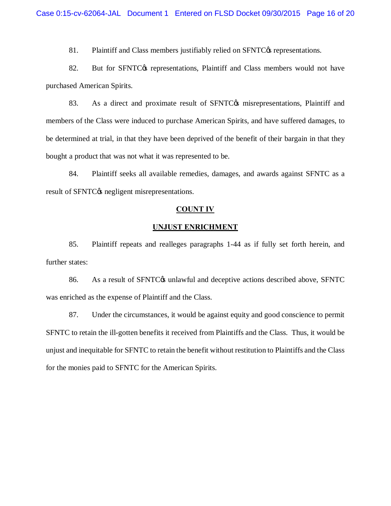81. Plaintiff and Class members justifiably relied on SFNTC $\alpha$  representations.

82. But for SFNTC<sub>®</sub> representations, Plaintiff and Class members would not have purchased American Spirits.

83. As a direct and proximate result of SFNTC<sub>®</sub> misrepresentations, Plaintiff and members of the Class were induced to purchase American Spirits, and have suffered damages, to be determined at trial, in that they have been deprived of the benefit of their bargain in that they bought a product that was not what it was represented to be.

84. Plaintiff seeks all available remedies, damages, and awards against SFNTC as a result of SFNTC $\alpha$  negligent misrepresentations.

#### **COUNT IV**

#### **UNJUST ENRICHMENT**

85. Plaintiff repeats and realleges paragraphs 1-44 as if fully set forth herein, and further states:

86. As a result of SFNTC $\alpha$  unlawful and deceptive actions described above, SFNTC was enriched as the expense of Plaintiff and the Class.

87. Under the circumstances, it would be against equity and good conscience to permit SFNTC to retain the ill-gotten benefits it received from Plaintiffs and the Class. Thus, it would be unjust and inequitable for SFNTC to retain the benefit without restitution to Plaintiffs and the Class for the monies paid to SFNTC for the American Spirits.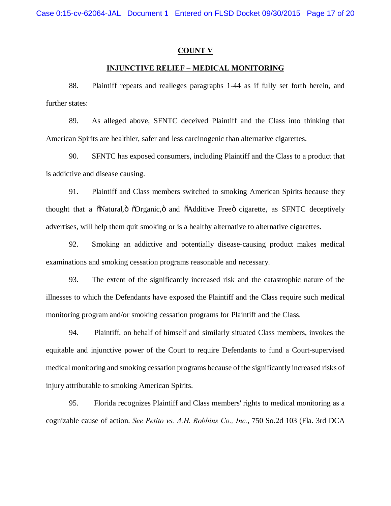#### **COUNT V**

#### **INJUNCTIVE RELIEF – MEDICAL MONITORING**

88. Plaintiff repeats and realleges paragraphs 1-44 as if fully set forth herein, and further states:

89. As alleged above, SFNTC deceived Plaintiff and the Class into thinking that American Spirits are healthier, safer and less carcinogenic than alternative cigarettes.

90. SFNTC has exposed consumers, including Plaintiff and the Class to a product that is addictive and disease causing.

91. Plaintiff and Class members switched to smoking American Spirits because they thought that a  $\delta$ Natural, $\delta$   $\delta$ Organic, $\delta$  and  $\delta$ Additive Free $\delta$  cigarette, as SFNTC deceptively advertises, will help them quit smoking or is a healthy alternative to alternative cigarettes.

92. Smoking an addictive and potentially disease-causing product makes medical examinations and smoking cessation programs reasonable and necessary.

93. The extent of the significantly increased risk and the catastrophic nature of the illnesses to which the Defendants have exposed the Plaintiff and the Class require such medical monitoring program and/or smoking cessation programs for Plaintiff and the Class.

94. Plaintiff, on behalf of himself and similarly situated Class members, invokes the equitable and injunctive power of the Court to require Defendants to fund a Court-supervised medical monitoring and smoking cessation programs because of the significantly increased risks of injury attributable to smoking American Spirits.

95. Florida recognizes Plaintiff and Class members' rights to medical monitoring as a cognizable cause of action. *See Petito vs. A.H. Robbins Co., Inc.*, 750 So.2d 103 (Fla. 3rd DCA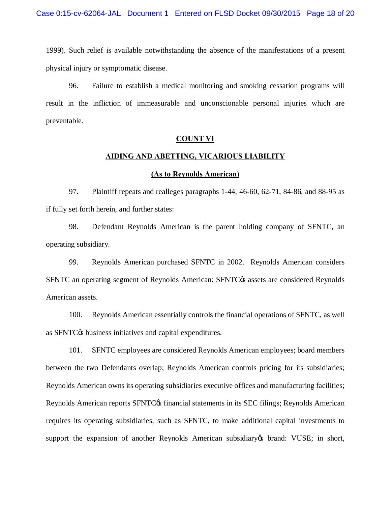1999). Such relief is available notwithstanding the absence of the manifestations of a present physical injury or symptomatic disease.

96. Failure to establish a medical monitoring and smoking cessation programs will result in the infliction of immeasurable and unconscionable personal injuries which are preventable.

#### **COUNT VI**

#### **AIDING AND ABETTING, VICARIOUS LIABILITY**

#### **(As to Reynolds American)**

97. Plaintiff repeats and realleges paragraphs 1-44, 46-60, 62-71, 84-86, and 88-95 as if fully set forth herein, and further states:

98. Defendant Reynolds American is the parent holding company of SFNTC, an operating subsidiary.

99. Reynolds American purchased SFNTC in 2002. Reynolds American considers SFNTC an operating segment of Reynolds American: SFNTC $\alpha$  assets are considered Reynolds American assets.

100. Reynolds American essentially controls the financial operations of SFNTC, as well as SFNTC $\alpha$  business initiatives and capital expenditures.

101. SFNTC employees are considered Reynolds American employees; board members between the two Defendants overlap; Reynolds American controls pricing for its subsidiaries; Reynolds American owns its operating subsidiaries executive offices and manufacturing facilities; Reynolds American reports SFNTC<sub>O</sub> financial statements in its SEC filings; Reynolds American requires its operating subsidiaries, such as SFNTC, to make additional capital investments to support the expansion of another Reynolds American subsidiary of brand: VUSE; in short,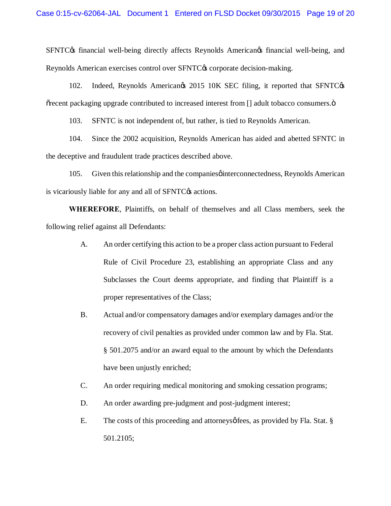SFNTC $\alpha$  financial well-being directly affects Reynolds American $\alpha$  financial well-being, and Reynolds American exercises control over SFNTC $\alpha$  corporate decision-making.

102. Indeed, Reynolds Americangs 2015 10K SEC filing, it reported that SFNTCgs  $\tilde{\sigma}$  recent packaging upgrade contributed to increased interest from  $\lceil \cdot \rceil$  adult tobacco consumers. $\ddot{\sigma}$ 

103. SFNTC is not independent of, but rather, is tied to Reynolds American.

104. Since the 2002 acquisition, Reynolds American has aided and abetted SFNTC in the deceptive and fraudulent trade practices described above.

105. Given this relationship and the companies of interconnectedness, Reynolds American is vicariously liable for any and all of SFNTC $\alpha$  actions.

**WHEREFORE**, Plaintiffs, on behalf of themselves and all Class members, seek the following relief against all Defendants:

- A. An order certifying this action to be a proper class action pursuant to Federal Rule of Civil Procedure 23, establishing an appropriate Class and any Subclasses the Court deems appropriate, and finding that Plaintiff is a proper representatives of the Class;
- B. Actual and/or compensatory damages and/or exemplary damages and/or the recovery of civil penalties as provided under common law and by Fla. Stat. § 501.2075 and/or an award equal to the amount by which the Defendants have been unjustly enriched;
- C. An order requiring medical monitoring and smoking cessation programs;
- D. An order awarding pre-judgment and post-judgment interest;
- E. The costs of this proceeding and attorneys  $\phi$  fees, as provided by Fla. Stat. § 501.2105;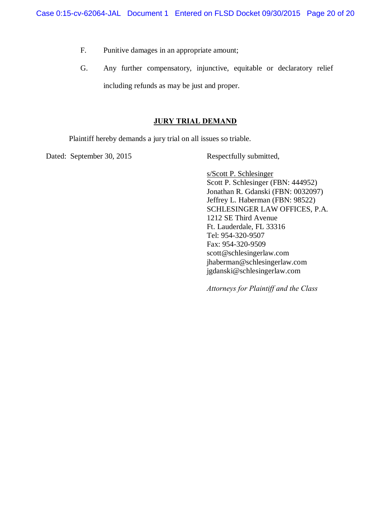- F. Punitive damages in an appropriate amount;
- G. Any further compensatory, injunctive, equitable or declaratory relief including refunds as may be just and proper.

# **JURY TRIAL DEMAND**

Plaintiff hereby demands a jury trial on all issues so triable.

Dated: September 30, 2015 Respectfully submitted,

s/Scott P. Schlesinger Scott P. Schlesinger (FBN: 444952) Jonathan R. Gdanski (FBN: 0032097) Jeffrey L. Haberman (FBN: 98522) SCHLESINGER LAW OFFICES, P.A. 1212 SE Third Avenue Ft. Lauderdale, FL 33316 Tel: 954-320-9507 Fax: 954-320-9509 scott@schlesingerlaw.com jhaberman@schlesingerlaw.com jgdanski@schlesingerlaw.com

*Attorneys for Plaintiff and the Class*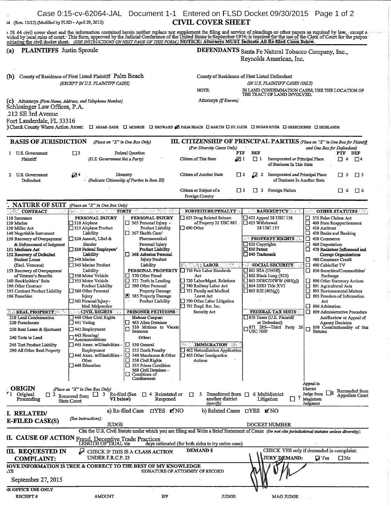| 14 (Rev. 12/12) (Modified by FLSD - April 29, 2013)                                                                                                                                                                                                                                                                                                                                                                                                                                                                                                                                                        |                                                                                                                                                                                                                                                                                                                                                                                                                                                                                                                                                                                                                                       |                                                                                                                                                                                                                                                                                                                                                                                                                                                                                                                                                                                                                                                                                                                                      | <b>CIVIL COVER SHEET</b>                                                                                                                                                                                                                                                                                                                                                                                                                   | Case 0:15-cv-62064-JAL Document 1-1 Entered on FLSD Docket 09/30/2015 Page 1 of 2                                                                                                                                                                                                                                                                                                                                                                                                         |                                                                                                                                                                                                                                                                                                                                                                                                                                                                                                                                                                                                                                                             |  |  |
|------------------------------------------------------------------------------------------------------------------------------------------------------------------------------------------------------------------------------------------------------------------------------------------------------------------------------------------------------------------------------------------------------------------------------------------------------------------------------------------------------------------------------------------------------------------------------------------------------------|---------------------------------------------------------------------------------------------------------------------------------------------------------------------------------------------------------------------------------------------------------------------------------------------------------------------------------------------------------------------------------------------------------------------------------------------------------------------------------------------------------------------------------------------------------------------------------------------------------------------------------------|--------------------------------------------------------------------------------------------------------------------------------------------------------------------------------------------------------------------------------------------------------------------------------------------------------------------------------------------------------------------------------------------------------------------------------------------------------------------------------------------------------------------------------------------------------------------------------------------------------------------------------------------------------------------------------------------------------------------------------------|--------------------------------------------------------------------------------------------------------------------------------------------------------------------------------------------------------------------------------------------------------------------------------------------------------------------------------------------------------------------------------------------------------------------------------------------|-------------------------------------------------------------------------------------------------------------------------------------------------------------------------------------------------------------------------------------------------------------------------------------------------------------------------------------------------------------------------------------------------------------------------------------------------------------------------------------------|-------------------------------------------------------------------------------------------------------------------------------------------------------------------------------------------------------------------------------------------------------------------------------------------------------------------------------------------------------------------------------------------------------------------------------------------------------------------------------------------------------------------------------------------------------------------------------------------------------------------------------------------------------------|--|--|
|                                                                                                                                                                                                                                                                                                                                                                                                                                                                                                                                                                                                            |                                                                                                                                                                                                                                                                                                                                                                                                                                                                                                                                                                                                                                       |                                                                                                                                                                                                                                                                                                                                                                                                                                                                                                                                                                                                                                                                                                                                      |                                                                                                                                                                                                                                                                                                                                                                                                                                            |                                                                                                                                                                                                                                                                                                                                                                                                                                                                                           | : JS 44 civil cover sheet and the information contained herein neither replace nor supplement the filing and service of pleadings or other papers as required by law, except a<br>vided by local rules of court- This form, approved by the Judicial Conference of the United States in September 1974; is required for the use of the Clerk of Court for the purpos                                                                                                                                                                                                                                                                                        |  |  |
| <b>PLAINTIFFS</b> Justin Sproule<br>(a)                                                                                                                                                                                                                                                                                                                                                                                                                                                                                                                                                                    |                                                                                                                                                                                                                                                                                                                                                                                                                                                                                                                                                                                                                                       |                                                                                                                                                                                                                                                                                                                                                                                                                                                                                                                                                                                                                                                                                                                                      | nitiating the civil docket sheet. (SEE INSTRUCTIONS ON NEXT PAGE OF THIS FORM.) NOTICE: Attorneys MUST Indicate All Re-filed Cases Below.<br>DEFENDANTS Santa Fe Natural Tobacco Company, Inc.,<br>Reynolds American, Inc.                                                                                                                                                                                                                 |                                                                                                                                                                                                                                                                                                                                                                                                                                                                                           |                                                                                                                                                                                                                                                                                                                                                                                                                                                                                                                                                                                                                                                             |  |  |
| County of Residence of First Listed Plaintiff Palm Beach<br>(b)<br>(EXCEPT IN U.S. PLAINTIFF CASES)                                                                                                                                                                                                                                                                                                                                                                                                                                                                                                        |                                                                                                                                                                                                                                                                                                                                                                                                                                                                                                                                                                                                                                       |                                                                                                                                                                                                                                                                                                                                                                                                                                                                                                                                                                                                                                                                                                                                      | County of Residence of First Listed Defendant<br>(IN U.S. PLAINTIFF CASES ONLY)<br>NOTE:<br>IN LAND CONDEMNATION CASES, USE THE LOCATION OF THE TRACT OF LAND INVOLVED.                                                                                                                                                                                                                                                                    |                                                                                                                                                                                                                                                                                                                                                                                                                                                                                           |                                                                                                                                                                                                                                                                                                                                                                                                                                                                                                                                                                                                                                                             |  |  |
| (C) Attorneys (Firm Name, Address, and Telephone Number)<br>Schlesinger Law Offices, P.A.<br>212 SE 3rd Avenue<br>Fort Lauderdale, FL 33316<br>Check County Where Action Arose:                                                                                                                                                                                                                                                                                                                                                                                                                            |                                                                                                                                                                                                                                                                                                                                                                                                                                                                                                                                                                                                                                       |                                                                                                                                                                                                                                                                                                                                                                                                                                                                                                                                                                                                                                                                                                                                      | Attorneys (If Known)                                                                                                                                                                                                                                                                                                                                                                                                                       | [] MIAMI-DADE [] MONROE [] BROWARD <b>[2]</b> PALM BEACH [] MARTIN [] ST. LUCIE [] INDIAN RIVER [] OKEECHOBEE [] HIGHLANDS                                                                                                                                                                                                                                                                                                                                                                |                                                                                                                                                                                                                                                                                                                                                                                                                                                                                                                                                                                                                                                             |  |  |
| <b>BASIS OF JURISDICTION</b>                                                                                                                                                                                                                                                                                                                                                                                                                                                                                                                                                                               | (Place an "X" in One Box Only)                                                                                                                                                                                                                                                                                                                                                                                                                                                                                                                                                                                                        |                                                                                                                                                                                                                                                                                                                                                                                                                                                                                                                                                                                                                                                                                                                                      |                                                                                                                                                                                                                                                                                                                                                                                                                                            |                                                                                                                                                                                                                                                                                                                                                                                                                                                                                           | <b>III. CITIZENSHIP OF PRINCIPAL PARTIES</b> (Place an "X" in One Box for Plaintiff.                                                                                                                                                                                                                                                                                                                                                                                                                                                                                                                                                                        |  |  |
| 1 U.S. Government<br>Plaintiff                                                                                                                                                                                                                                                                                                                                                                                                                                                                                                                                                                             | ∃ ב<br>(U.S. Government Not a Party)                                                                                                                                                                                                                                                                                                                                                                                                                                                                                                                                                                                                  | Federal Question                                                                                                                                                                                                                                                                                                                                                                                                                                                                                                                                                                                                                                                                                                                     | (For Diversity Cases Only)<br>Citizen of This State                                                                                                                                                                                                                                                                                                                                                                                        | DEF<br>PTF<br>7⊡<br>$\Box$ 1<br>Incorporated or Principal Place<br>of Business In This State                                                                                                                                                                                                                                                                                                                                                                                              | and One Box for Defendant)<br>PTF DEF<br>П4<br>$\Box$ <sup>4</sup>                                                                                                                                                                                                                                                                                                                                                                                                                                                                                                                                                                                          |  |  |
| 2 U.S. Government<br>Defendant                                                                                                                                                                                                                                                                                                                                                                                                                                                                                                                                                                             | 04                                                                                                                                                                                                                                                                                                                                                                                                                                                                                                                                                                                                                                    | Diversity<br>(Indicate Citizenship of Parties in Item III)                                                                                                                                                                                                                                                                                                                                                                                                                                                                                                                                                                                                                                                                           | Citizen of Another State                                                                                                                                                                                                                                                                                                                                                                                                                   | 口2<br>☑<br>Incorporated and Principal Place<br>$\mathbf{2}$<br>of Business In Another State                                                                                                                                                                                                                                                                                                                                                                                               | $\Box$ 5<br>$\Box$ 5                                                                                                                                                                                                                                                                                                                                                                                                                                                                                                                                                                                                                                        |  |  |
|                                                                                                                                                                                                                                                                                                                                                                                                                                                                                                                                                                                                            |                                                                                                                                                                                                                                                                                                                                                                                                                                                                                                                                                                                                                                       |                                                                                                                                                                                                                                                                                                                                                                                                                                                                                                                                                                                                                                                                                                                                      | Citizen or Subject of a<br>Foreign Country                                                                                                                                                                                                                                                                                                                                                                                                 | <b>□</b> 3<br>3 Foreign Nation                                                                                                                                                                                                                                                                                                                                                                                                                                                            | 口 6<br>口6                                                                                                                                                                                                                                                                                                                                                                                                                                                                                                                                                                                                                                                   |  |  |
| <b>NATURE OF SUIT</b>                                                                                                                                                                                                                                                                                                                                                                                                                                                                                                                                                                                      | (Place an "X" in One Box Only)                                                                                                                                                                                                                                                                                                                                                                                                                                                                                                                                                                                                        |                                                                                                                                                                                                                                                                                                                                                                                                                                                                                                                                                                                                                                                                                                                                      |                                                                                                                                                                                                                                                                                                                                                                                                                                            |                                                                                                                                                                                                                                                                                                                                                                                                                                                                                           |                                                                                                                                                                                                                                                                                                                                                                                                                                                                                                                                                                                                                                                             |  |  |
| $\mathcal{L}$ CONTRACT.<br>110 Insurance<br>120 Marine<br>130 Miller Act<br>140 Negotiable Instrument<br>150 Recovery of Overpayment<br>& Enforcement of Judgment<br>151 Medicare Act<br>152 Recovery of Defaulted<br>Student Loans<br>(Excl. Veterans)<br>153 Recovery of Overnayment<br>of Veteran's Benefits<br>160 Stockholders' Suits<br>190 Other Contract<br>195 Contract Product Liability<br>196 Franchise<br><b>SEREAL PROPERTY:</b><br>210 Land Condemnation<br>220 Foreclosure<br>230 Rent Lease & Ejectment<br>240 Torts to Land<br>245 Tort Product Liability<br>290 All Other Real Property | 뜻화 보고 보호되고 취업<br>PERSONAL INJURY<br>□ 310 Airplane<br>] 315 Airplane Product<br>Liability<br>320 Assault, Libel &<br>Slander<br>330 Federal Employers'<br>Liability<br>T 340 Marine<br>□ 345 Marine Product<br>Liability<br>1350 Motor Vehicle<br>355 Motor Vehicle<br>Product Liability<br> □ 360 Other Personal<br>Injury<br>362 Personal Injury -<br>Med Malpractice<br>$\sim$ CIVIL RIGHTS $\sim$ .<br>440 Other Civil Rights<br>$\square$ 441 Voting<br>$\Box$ 442 Employment<br>$\square$ 443 Housing/<br>Accommodations<br>□ 445 Amer. w/Disabilities -<br>Employment<br>446 Amer. w/Disabilities -<br>Other<br>3448 Education | <b>TORTS</b> and the second state<br>PERSONAL INJURY<br>365 Personal Injury -<br>Product Liability<br>$\Box$ 367 Health Care/<br>Pharmaceutical<br>Personal Injury<br>Product Liability<br>368 Asbestos Personal<br><b>Injury Product</b><br>Liability<br>PERSONAL PROPERTY<br>370 Other Frand<br>$\Box$ 371 Truth in Lending<br>380 Other Personal<br>Property Damage<br>8 385 Property Damage<br>Product Liability<br><b>PRISONER PETTITIONS</b><br>Habeas Corpus:<br>463 Alien Detainee<br>510 Motions to Vacate<br>Sentence<br>Other:<br>$\Box$ 530 General<br>$\Box$ 535 Death Penalty<br>$\Box$ 540 Mandamus & Other<br>550 Civil Rights<br>п<br>555 Prison Condition<br>560 Civil Detainee --<br>Conditions of<br>Confinement | FORFEITURE/PENALTY<br>525 Drug Related Seizure<br>of Property 21 USC 881.<br>$\Box$ 690 Other<br>동작의<br><b>SACTOR LABOR</b><br>710 Fair Labor Standards<br>Act<br>720 Labor/Mgmt. Relations<br>740 Railway Labor Act<br>751 Family and Medical<br>Leave Act<br>790 Other Labor Litigation<br>$\Box$ 791 Empl. Ret. Inc.<br>Security Act<br><b>IMMIGRATION</b><br>462 Naturalization Application<br>$\Box$ 465 Other Immigration<br>Actions | <b>BANKRUPTCY RESIT</b><br>422 Appeal 28 USC 158<br>423 Withdrawal<br>28 USC 157<br><b>PROPERTY RIGHTS</b><br>$\Box$ 820 Copyrights<br>$\square$ 830 Patent<br>□ 840 Trademark<br><b>SOCIAL SECURITY</b><br>$\Box$ 861 HIA (1395ff)<br><b>B</b> 862 Black Lung (923)<br>$\Box$ 863 DIWC/DIWW (405(g))<br>$\Box$ 864 SSID Title XVI<br>$\overline{\Box}$ 865 RSI (405(g))<br>FEDERAL TAX SUITS.<br>□ 870 Taxes (U.S. Plaintiff<br>or Defendant)<br>1871 IRS-Third Party 26<br>$-$ USC 7609 | <b>OTHER STATUTES</b><br>□ 375 False Claims Act<br>400 State Reapportionment<br>Π<br>410 Antitrust<br>□<br>430 Banks and Banking<br>450 Commerce<br>□<br>$\Box$ 460 Deportation<br>470 Racketeer Influenced and<br>□<br>Corrupt Organizations<br>480 Consumer Credit<br>□<br>490 Cable/Sat TV<br>□ 850 Securities/Commodities/<br>Exchange<br>890 Other Statutory Actions<br>П<br>891 Agricultural Acts<br>ñ<br>893 Environmental Matters<br>□ 895 Freedom of Information<br>Act<br>$\Box$ 896 Arbitration<br>□ 899 Administrative Procedure<br>Act/Review or Appeal of<br>Agency Decision<br>950 Constitutionality of Stat<br><b>Statutes</b><br>Appeal to |  |  |
| <b>ORIGIN</b><br>'1 Original<br>□ 2<br>Proceeding<br>I. RELATED/<br>E-FILED CASE(S)<br>II. CAUSE OF ACTION Fraud, Deceptive Trade Practices<br>III. REQUESTED IN<br><b>COMPLAINT:</b><br><b>3OVE INFORMATION IS TRUE &amp; CORRECT TO THE BEST OF MY KNOWLEDGE</b><br>ιÆ                                                                                                                                                                                                                                                                                                                                   | (Place an "X" in One Box Only)<br>3<br>Removed from<br>VI below)<br><b>State Court</b><br>(See instructions):<br><b>JUDGE</b><br>LENGTH OF TRIAL via<br>أعر<br>UNDER F.R.C.P. 23                                                                                                                                                                                                                                                                                                                                                                                                                                                      | Re-filed (See<br>$\Box$ 4 Reinstated or $\Box$<br>Reopened<br>□YES ØNO<br>a) Re-filed Case<br>CHECK IF THIS IS A CLASS ACTION                                                                                                                                                                                                                                                                                                                                                                                                                                                                                                                                                                                                        | Transferred from $\Box$<br>5<br>another district<br>(specify)<br>days estimated (for both sides to try entire case)<br><b>DEMAND \$</b><br>SIGNATURE OF ATTORNEY OF RECORD                                                                                                                                                                                                                                                                 | 6 Multidistrict<br>Litigation<br>b) Related Cases <b>LITES M</b> NO<br>DOCKET NUMBER<br>Cite the U.S. Civil Statute under which you are filing and Write a Brief Statement of Cause (Do not cite jurisdictional statutes unless diversity):<br>JURY DEMAND:                                                                                                                                                                                                                               | District<br>Remanded from<br>Judge from<br>Appellate Court<br>Magistrate<br>Judgment<br>CHECK YES only if demanded in complaint:<br>$Q$ Yes<br>$\square$ No                                                                                                                                                                                                                                                                                                                                                                                                                                                                                                 |  |  |
| September 27, 2015<br><b>IR OFFICE USE ONLY</b><br>RECEIPT#                                                                                                                                                                                                                                                                                                                                                                                                                                                                                                                                                | AMOUNT                                                                                                                                                                                                                                                                                                                                                                                                                                                                                                                                                                                                                                | IFP                                                                                                                                                                                                                                                                                                                                                                                                                                                                                                                                                                                                                                                                                                                                  | <b>JUDGE</b>                                                                                                                                                                                                                                                                                                                                                                                                                               | MAG JUDGE                                                                                                                                                                                                                                                                                                                                                                                                                                                                                 |                                                                                                                                                                                                                                                                                                                                                                                                                                                                                                                                                                                                                                                             |  |  |

ŧ  $\frac{1}{3}$ 

Ť

Ť

 $\begin{array}{c}\n\vdots \\
\downarrow \\
\downarrow\n\end{array}$ 

Ť

 $\bar{1}$ 

 $\frac{1}{2}$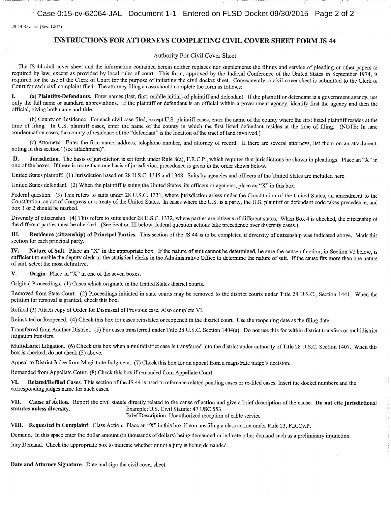JS 44 Reverse (Rev. 12/12)

#### INSTRUCTIONS FOR ATTORNEYS COMPLETING CIVIL COVER SHEET FORM JS 44

#### Authority For Civil Cover Sheet

The JS <sup>44</sup> civil cover sheet and the information contained herein neither replaces nor supplements the filings and service of pleading or other papers as required by law, except as provided by local rules of court. This form, approved by the Judicial Conference of the United States in September 1974, is required for the use of the Clerk of Court for the purpose of initiating the civil docket sheet. Consequently, a civil cover sheet is submitted to the Clerk of Court for each civil complaint filed. The attorney filing <sup>a</sup> case should complete the form as follows:

I. (a) Plaintiffs-Defendants. Enter names (last, first, middle initial) of plaintiff and defendant. If the plaintiff or defendant is a government agency, use only the full name or standard abbreviations. Ifthe plaintiff or defendant is an official within <sup>a</sup> government agency, identify first the agency and then the official, giving both name and title.

(b) County of Residence. For each civil case filed, except U.S. plaintiff cases, enter the name of the county where the first listed plaintiff resides at the time of filing. In U.S. plaintiff cases, enter the name of the county in which the first listed defendant resides at the time of filing. (NOTE: In lanc condemnation cases, the county of residence of the "defendant" is the location of the tract of land involved.)

(c) Attorneys. Enter the firm name, address, telephone number, and attorney of record. If there are several attorneys, list them on an attachment. noting in this section "(see attachment)".

II. Jurisdiction. The basis of jurisdiction is set forth under Rule 8(a), F.R.C.P., which requires that jurisdictions be shown in pleadings. Place an "X" ir one ofthe boxes. Ifthere is more than one basis ofjurisdiction, precedence is given in the order shown below.

United States plaintiff. (1) Jurisdiction based on <sup>28</sup> U.S.C. <sup>1345</sup> and 1348. Suits by agencies and officers ofthe United States are included here.

United States defendant. (2) When the plaintiff is suing the United States, its officers or agencies, place an "X" in this box.

Federal question. (3) This refers to suits under 28 U.S.C. 1331, where jurisdiction arises under the Constitution of the United States, an amendment to the Constitution, an act of Congress or a treaty of the United States. In cases where the U.S. is a party, the U.S. plaintiff or defendant code takes precedence, and box <sup>1</sup> or 2 should be marked.

Diversity of citizenship. (4) This refers to suits under 28 U.S.C. 1332, where parties are citizens of different states. When Box 4 is checked, the citizenship of the different parties must be checked. (See Section III below; federal question actions take precedence over diversity cases.)

III. Residence (citizenship) of Principal Parties. This section of the JS <sup>44</sup> is to be completed if diversity of citizenship was indicated above. Mark this section for each principal party.

IV. Nature of Suit. Place an "X" in the appropriate box. If the nature of suit cannot be determined, be sure the cause of action, in Section VI below, is sufficient to enable the deputy clerk or the statistical clerks in the Administrative Office to determine the nature of suit. If the cause fits more than one nature of suit, select the most defmitive.

 $V.$  Origin. Place an "X" in one of the seven boxes.

Original Proceedings. (1) Cases which originate in the United States district courts.

Removed from State Court. (2) Proceedings initiated in state courts may be removed to the district courts under Title 28 U.S.C., Section 1441. When the petition for removal is granted, check this box.

Refiled (3) Attach copy of Order for Dismissal of Previous case. Also complete VI.

Reinstated or Reopened. (4) Check this box for cases reinstated or reopened in the district court. Use the reopening date as the filing date.

Transferred from Another District. (5) For cases transferred under Title <sup>28</sup> U.S.C. Section 1404(a). Do not use this for within district transfers or multidistrio litigation transfers.

Multidistrict Litigation. (6) Check this box when <sup>a</sup> multidistrict case is transferred into the district under authority of Title <sup>28</sup> U.S.C. Section 1407. When this box is checked, do not check (5) above.

Appeal to District Judge from Magistrate Judgment. (7) Check this box for an appeal from a magistrate judge's decision.

Remanded from Appellate Court. (8) Check this box if remanded from Appellate Court.

VI. Related/Refiled Cases. This section of the JS 44 is used to reference related pending cases or re-filed cases. Insert the docket numbers and the corresponding judges name for such cases.

VII. Cause of Action. Report the civil statute directly related to the cause of action and give a brief description of the cause. Do not cite jurisdictional statutes unless diversity. Example: U.S. Civil Statute: 47 USC 55 Example: U.S. Civil Statute: 47 USC 553 BriefDescription: Unauthorized reception of cable service

VIII. Requested in Complaint. Class Action. Place an "X" in this box ifyou are filing <sup>a</sup> class action under Rule 23, F.R.Cv.P.

Demand. In this space enter the dollar amount (in thousands of dollars) being demanded or indicate other demand such as a preliminary injunction.

Jury Demand. Check the appropriate box to indicate whether or not <sup>a</sup> jury is being demanded.

Date and Attorney Signature. Date and sign the civil cover sheet.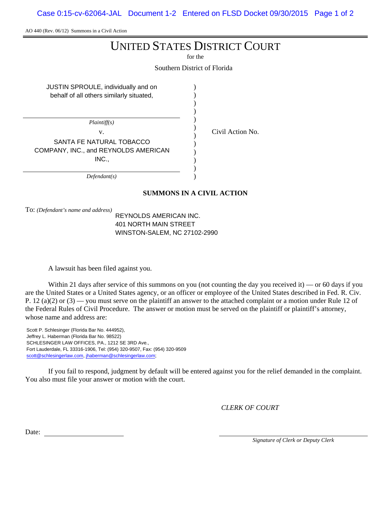Case 0:15-cv-62064-JAL Document 1-2 Entered on FLSD Docket 09/30/2015 Page 1 of 2

AO 440 (Rev. 06/12) Summons in a Civil Action

# UNITED STATES DISTRICT COURT

for the

Southern District of Florida

| JUSTIN SPROULE, individually and on<br>behalf of all others similarly situated, |  |
|---------------------------------------------------------------------------------|--|
| Plaintiff(s)                                                                    |  |
| V.                                                                              |  |
| SANTA FE NATURAL TOBACCO                                                        |  |
| COMPANY, INC., and REYNOLDS AMERICAN                                            |  |
| INC.,                                                                           |  |
|                                                                                 |  |
| Defendant(s)                                                                    |  |

Civil Action No.

**SUMMONS IN A CIVIL ACTION**

To: *(Defendant's name and address)*

REYNOLDS AMERICAN INC. 401 NORTH MAIN STREET WINSTON-SALEM, NC 27102-2990

A lawsuit has been filed against you.

Within 21 days after service of this summons on you (not counting the day you received it) — or 60 days if you are the United States or a United States agency, or an officer or employee of the United States described in Fed. R. Civ. P. 12 (a)(2) or  $(3)$  — you must serve on the plaintiff an answer to the attached complaint or a motion under Rule 12 of the Federal Rules of Civil Procedure. The answer or motion must be served on the plaintiff or plaintiff's attorney, whose name and address are:

Scott P. Schlesinger (Florida Bar No. 444952), Jeffrey L. Haberman (Florida Bar No. 98522) SCHLESINGER LAW OFFICES, PA., 1212 SE 3RD Ave., Fort Lauderdale, FL 33316-1906, Tel: (954) 320-9507, Fax: (954) 320-9509 scott@schlesingerlaw.com, jhaberman@schlesingerlaw.com;

If you fail to respond, judgment by default will be entered against you for the relief demanded in the complaint. You also must file your answer or motion with the court.

*CLERK OF COURT*

Date:

*Signature of Clerk or Deputy Clerk*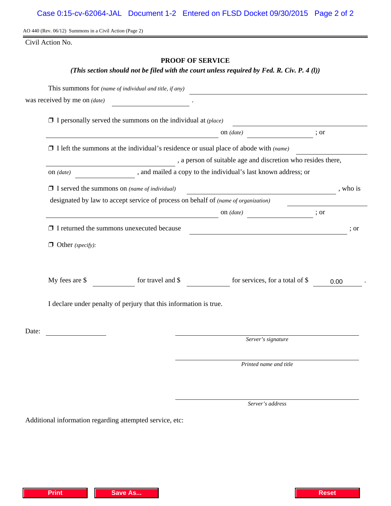AO 440 (Rev. 06/12) Summons in a Civil Action (Page 2)

Civil Action No.

# **PROOF OF SERVICE**

# *(This section should not be filed with the court unless required by Fed. R. Civ. P. 4 (l))*

|       |                                                                                                                                     | This summons for (name of individual and title, if any)                                                   |  |                                                              |      |        |  |
|-------|-------------------------------------------------------------------------------------------------------------------------------------|-----------------------------------------------------------------------------------------------------------|--|--------------------------------------------------------------|------|--------|--|
|       | was received by me on (date)                                                                                                        | <u>a sa salawan na matangan sa sa</u>                                                                     |  |                                                              |      |        |  |
|       |                                                                                                                                     | $\Box$ I personally served the summons on the individual at (place)                                       |  |                                                              |      |        |  |
|       | on $(date)$<br><u> 1989 - Johann Barn, mars eta bainar eta bainar eta baina eta baina eta baina eta baina eta baina eta baina e</u> |                                                                                                           |  |                                                              | ; or |        |  |
|       | $\Box$ I left the summons at the individual's residence or usual place of abode with (name)                                         |                                                                                                           |  |                                                              |      |        |  |
|       |                                                                                                                                     |                                                                                                           |  | , a person of suitable age and discretion who resides there, |      |        |  |
|       | and mailed a copy to the individual's last known address; or<br>on $(data)$                                                         |                                                                                                           |  |                                                              |      |        |  |
|       |                                                                                                                                     | $\Box$ I served the summons on (name of individual)                                                       |  |                                                              |      | who is |  |
|       |                                                                                                                                     | designated by law to accept service of process on behalf of <i>(name of organization)</i>                 |  |                                                              |      |        |  |
|       |                                                                                                                                     | on $(data)$ ; or                                                                                          |  |                                                              |      |        |  |
|       |                                                                                                                                     | $\Box$ I returned the summons unexecuted because<br><u> 1989 - Johann Stoff, fransk politik (f. 1989)</u> |  |                                                              |      | ; or   |  |
|       | $\Box$ Other (specify):                                                                                                             |                                                                                                           |  |                                                              |      |        |  |
|       | My fees are \$                                                                                                                      | for travel and \$                                                                                         |  | for services, for a total of \$                              | 0.00 |        |  |
|       | I declare under penalty of perjury that this information is true.                                                                   |                                                                                                           |  |                                                              |      |        |  |
| Date: |                                                                                                                                     |                                                                                                           |  |                                                              |      |        |  |
|       |                                                                                                                                     |                                                                                                           |  | Server's signature                                           |      |        |  |
|       |                                                                                                                                     |                                                                                                           |  | Printed name and title                                       |      |        |  |
|       |                                                                                                                                     |                                                                                                           |  |                                                              |      |        |  |

*Server's address*

Additional information regarding attempted service, etc: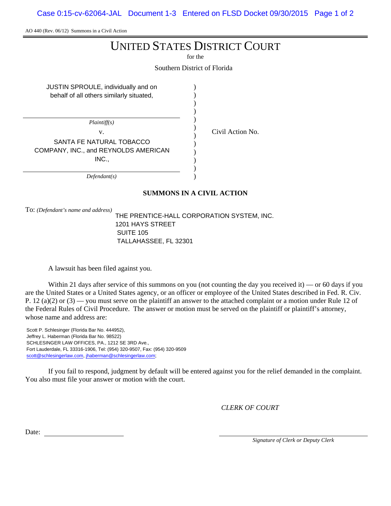Case 0:15-cv-62064-JAL Document 1-3 Entered on FLSD Docket 09/30/2015 Page 1 of 2

AO 440 (Rev. 06/12) Summons in a Civil Action

# UNITED STATES DISTRICT COURT

for the

Southern District of Florida

| JUSTIN SPROULE, individually and on      |  |
|------------------------------------------|--|
| behalf of all others similarly situated, |  |
|                                          |  |
|                                          |  |
| <i>Plaintiff(s)</i>                      |  |
| V.                                       |  |
| SANTA FE NATURAL TOBACCO                 |  |
| COMPANY, INC., and REYNOLDS AMERICAN     |  |
| INC.,                                    |  |
|                                          |  |
| Defendant(s)                             |  |

Civil Action No.

**SUMMONS IN A CIVIL ACTION**

To: *(Defendant's name and address)*

THE PRENTICE-HALL CORPORATION SYSTEM, INC. 1201 HAYS STREET SUITE 105 TALLAHASSEE, FL 32301

A lawsuit has been filed against you.

Within 21 days after service of this summons on you (not counting the day you received it) — or 60 days if you are the United States or a United States agency, or an officer or employee of the United States described in Fed. R. Civ. P. 12 (a)(2) or  $(3)$  — you must serve on the plaintiff an answer to the attached complaint or a motion under Rule 12 of the Federal Rules of Civil Procedure. The answer or motion must be served on the plaintiff or plaintiff's attorney, whose name and address are:

Scott P. Schlesinger (Florida Bar No. 444952), Jeffrey L. Haberman (Florida Bar No. 98522) SCHLESINGER LAW OFFICES, PA., 1212 SE 3RD Ave., Fort Lauderdale, FL 33316-1906, Tel: (954) 320-9507, Fax: (954) 320-9509 scott@schlesingerlaw.com, jhaberman@schlesingerlaw.com;

If you fail to respond, judgment by default will be entered against you for the relief demanded in the complaint. You also must file your answer or motion with the court.

*CLERK OF COURT*

Date:

*Signature of Clerk or Deputy Clerk*